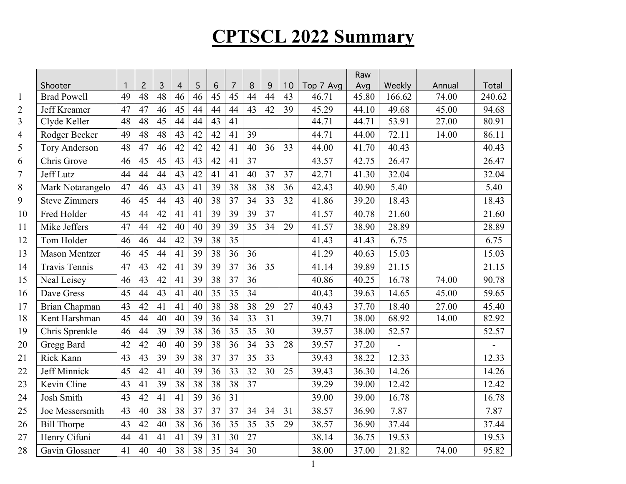|                |                      |    |                |                 |                |    |                 |                 |                 |                 |    |           | Raw   |        |        |        |
|----------------|----------------------|----|----------------|-----------------|----------------|----|-----------------|-----------------|-----------------|-----------------|----|-----------|-------|--------|--------|--------|
|                | Shooter              | 1  | $\overline{c}$ | 3               | $\overline{4}$ | 5  | 6               | $\overline{7}$  | 8               | 9               | 10 | Top 7 Avg | Avg   | Weekly | Annual | Total  |
| $\mathbf{1}$   | <b>Brad Powell</b>   | 49 | 48             | 48              | 46             | 46 | 45              | 45              | 44              | 44              | 43 | 46.71     | 45.80 | 166.62 | 74.00  | 240.62 |
| $\overline{c}$ | Jeff Kreamer         | 47 | 47             | 46              | 45             | 44 | 44              | 44              | 43              | 42              | 39 | 45.29     | 44.10 | 49.68  | 45.00  | 94.68  |
| 3              | Clyde Keller         | 48 | 48             | $\overline{45}$ | 44             | 44 | $\overline{43}$ | 41              |                 |                 |    | 44.71     | 44.71 | 53.91  | 27.00  | 80.91  |
| 4              | Rodger Becker        | 49 | 48             | 48              | 43             | 42 | 42              | 41              | 39              |                 |    | 44.71     | 44.00 | 72.11  | 14.00  | 86.11  |
| 5              | <b>Tory Anderson</b> | 48 | 47             | 46              | 42             | 42 | 42              | 41              | 40              | 36              | 33 | 44.00     | 41.70 | 40.43  |        | 40.43  |
| 6              | Chris Grove          | 46 | 45             | 45              | 43             | 43 | 42              | 41              | 37              |                 |    | 43.57     | 42.75 | 26.47  |        | 26.47  |
| 7              | Jeff Lutz            | 44 | 44             | 44              | 43             | 42 | 41              | 41              | 40              | 37              | 37 | 42.71     | 41.30 | 32.04  |        | 32.04  |
| 8              | Mark Notarangelo     | 47 | 46             | 43              | 43             | 41 | 39              | 38              | 38              | 38              | 36 | 42.43     | 40.90 | 5.40   |        | 5.40   |
| 9              | <b>Steve Zimmers</b> | 46 | 45             | 44              | 43             | 40 | 38              | 37              | 34              | 33              | 32 | 41.86     | 39.20 | 18.43  |        | 18.43  |
| 10             | Fred Holder          | 45 | 44             | 42              | 41             | 41 | 39              | 39              | 39              | 37              |    | 41.57     | 40.78 | 21.60  |        | 21.60  |
| 11             | Mike Jeffers         | 47 | 44             | 42              | 40             | 40 | 39              | 39              | 35              | 34              | 29 | 41.57     | 38.90 | 28.89  |        | 28.89  |
| 12             | Tom Holder           | 46 | 46             | 44              | 42             | 39 | 38              | $\overline{35}$ |                 |                 |    | 41.43     | 41.43 | 6.75   |        | 6.75   |
| 13             | <b>Mason Mentzer</b> | 46 | 45             | 44              | 41             | 39 | 38              | 36              | 36              |                 |    | 41.29     | 40.63 | 15.03  |        | 15.03  |
| 14             | <b>Travis Tennis</b> | 47 | 43             | 42              | 41             | 39 | 39              | 37              | 36              | 35              |    | 41.14     | 39.89 | 21.15  |        | 21.15  |
| 15             | Neal Leisey          | 46 | 43             | 42              | 41             | 39 | 38              | 37              | 36              |                 |    | 40.86     | 40.25 | 16.78  | 74.00  | 90.78  |
| 16             | Dave Gress           | 45 | 44             | 43              | 41             | 40 | 35              | $\overline{35}$ | 34              |                 |    | 40.43     | 39.63 | 14.65  | 45.00  | 59.65  |
| 17             | Brian Chapman        | 43 | 42             | 41              | 41             | 40 | 38              | 38              | 38              | 29              | 27 | 40.43     | 37.70 | 18.40  | 27.00  | 45.40  |
| 18             | Kent Harshman        | 45 | 44             | $\overline{40}$ | 40             | 39 | $\overline{36}$ | $\overline{34}$ | $\overline{33}$ | $\overline{31}$ |    | 39.71     | 38.00 | 68.92  | 14.00  | 82.92  |
| 19             | Chris Sprenkle       | 46 | 44             | 39              | 39             | 38 | 36              | 35              | 35              | 30              |    | 39.57     | 38.00 | 52.57  |        | 52.57  |
| 20             | Gregg Bard           | 42 | 42             | 40              | 40             | 39 | 38              | 36              | 34              | 33              | 28 | 39.57     | 37.20 |        |        |        |
| 21             | Rick Kann            | 43 | 43             | 39              | 39             | 38 | 37              | 37              | 35              | 33              |    | 39.43     | 38.22 | 12.33  |        | 12.33  |
| 22             | Jeff Minnick         | 45 | 42             | 41              | 40             | 39 | 36              | 33              | 32              | 30              | 25 | 39.43     | 36.30 | 14.26  |        | 14.26  |
| 23             | Kevin Cline          | 43 | 41             | 39              | 38             | 38 | 38              | $\overline{38}$ | 37              |                 |    | 39.29     | 39.00 | 12.42  |        | 12.42  |
| 24             | Josh Smith           | 43 | 42             | 41              | 41             | 39 | 36              | 31              |                 |                 |    | 39.00     | 39.00 | 16.78  |        | 16.78  |
| 25             | Joe Messersmith      | 43 | 40             | 38              | 38             | 37 | 37              | 37              | 34              | 34              | 31 | 38.57     | 36.90 | 7.87   |        | 7.87   |
| 26             | <b>Bill Thorpe</b>   | 43 | 42             | 40              | 38             | 36 | 36              | 35              | 35              | 35              | 29 | 38.57     | 36.90 | 37.44  |        | 37.44  |
| 27             | Henry Cifuni         | 44 | 41             | 41              | 41             | 39 | 31              | 30              | 27              |                 |    | 38.14     | 36.75 | 19.53  |        | 19.53  |
| 28             | Gavin Glossner       | 41 | 40             | 40              | 38             | 38 | 35              | 34              | 30              |                 |    | 38.00     | 37.00 | 21.82  | 74.00  | 95.82  |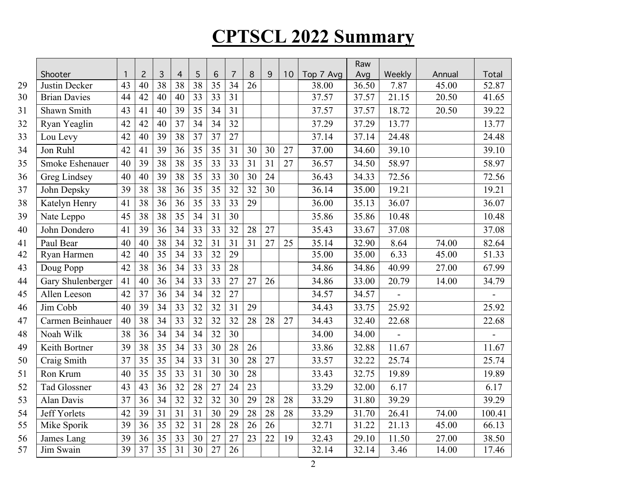|                     |                                                           |                 |                 |                                                |                 |                 |                 |          |    |    |           | Raw   |                |               |                |
|---------------------|-----------------------------------------------------------|-----------------|-----------------|------------------------------------------------|-----------------|-----------------|-----------------|----------|----|----|-----------|-------|----------------|---------------|----------------|
| Shooter             | $\mathbf{1}$                                              | $\overline{c}$  | 3               | $\overline{4}$                                 | 5               | 6               | $\overline{7}$  | 8        | 9  | 10 | Top 7 Avg | Avg   | Weekly         | Annual        | Total          |
|                     |                                                           |                 |                 |                                                |                 |                 |                 |          |    |    | 38.00     |       |                |               | 52.87          |
|                     |                                                           |                 |                 |                                                |                 |                 |                 |          |    |    |           |       |                |               | 41.65          |
| Shawn Smith         | 43                                                        | 41              | 40              | 39                                             | 35              | 34              | 31              |          |    |    | 37.57     | 37.57 | 18.72          | 20.50         | 39.22          |
| Ryan Yeaglin        | 42                                                        | 42              | 40              | 37                                             | 34              | 34              | 32              |          |    |    | 37.29     | 37.29 | 13.77          |               | 13.77          |
| Lou Levy            | 42                                                        | 40              | 39              | 38                                             | 37              | 37              | 27              |          |    |    | 37.14     | 37.14 | 24.48          |               | 24.48          |
| Jon Ruhl            | 42                                                        | 41              | 39              | 36                                             | 35              | 35              | 31              | 30       | 30 | 27 | 37.00     | 34.60 | 39.10          |               | 39.10          |
| Smoke Eshenauer     | 40                                                        | 39              | 38              | 38                                             | 35              | 33              | 33              | 31       | 31 | 27 | 36.57     | 34.50 | 58.97          |               | 58.97          |
| Greg Lindsey        | 40                                                        | 40              | 39              | 38                                             | 35              | 33              | 30              | 30       | 24 |    | 36.43     | 34.33 | 72.56          |               | 72.56          |
| John Depsky         | 39                                                        | 38              | 38              | 36                                             | $\overline{35}$ | $\overline{35}$ | 32              | 32       | 30 |    | 36.14     | 35.00 | 19.21          |               | 19.21          |
| Katelyn Henry       | 41                                                        | 38              | 36              | 36                                             | 35              | 33              | 33              | 29       |    |    | 36.00     | 35.13 | 36.07          |               | 36.07          |
| Nate Leppo          | 45                                                        | 38              | 38              | 35                                             | 34              | 31              | 30              |          |    |    | 35.86     | 35.86 | 10.48          |               | 10.48          |
| John Dondero        | 41                                                        | 39              | 36              | 34                                             | 33              | 33              | 32              | 28       | 27 |    | 35.43     | 33.67 | 37.08          |               | 37.08          |
| Paul Bear           | 40                                                        | 40              | 38              | 34                                             | 32              | 31              | 31              | 31       | 27 | 25 | 35.14     | 32.90 | 8.64           | 74.00         | 82.64          |
| Ryan Harmen         | 42                                                        | 40              |                 | 34                                             | 33              | 32              | 29              |          |    |    | 35.00     | 35.00 | 6.33           | 45.00         | 51.33          |
| Doug Popp           | 42                                                        | 38              | 36              | 34                                             | 33              | 33              | 28              |          |    |    | 34.86     | 34.86 | 40.99          | 27.00         | 67.99          |
|                     | 41                                                        | 40              | $\overline{36}$ | $\overline{34}$                                | $\overline{33}$ | $\overline{33}$ | $\overline{27}$ | 27       | 26 |    | 34.86     | 33.00 | 20.79          | 14.00         | 34.79          |
| Allen Leeson        | 42                                                        | 37              | 36              | 34                                             | 34              | 32              | 27              |          |    |    | 34.57     | 34.57 |                |               |                |
| Jim Cobb            | 40                                                        | $\overline{39}$ | 34              | $\overline{33}$                                | $\overline{32}$ | $\overline{32}$ | $\overline{31}$ | 29       |    |    | 34.43     | 33.75 | 25.92          |               | 25.92          |
| Carmen Beinhauer    | 40                                                        | 38              | 34              | 33                                             | 32              | 32              | 32              | 28       | 28 | 27 | 34.43     | 32.40 | 22.68          |               | 22.68          |
| Noah Wilk           | 38                                                        | 36              | 34              | 34                                             | 34              | 32              | 30              |          |    |    | 34.00     | 34.00 |                |               |                |
| Keith Bortner       | 39                                                        | 38              | 35              | 34                                             | 33              | 30              | 28              | 26       |    |    | 33.86     | 32.88 | 11.67          |               | 11.67          |
| Craig Smith         | 37                                                        | 35              | 35              | 34                                             | 33              | 31              | 30              | 28       | 27 |    | 33.57     | 32.22 | 25.74          |               | 25.74          |
| Ron Krum            | 40                                                        | 35              | 35              | 33                                             | 31              | 30              | 30              | 28       |    |    | 33.43     | 32.75 | 19.89          |               | 19.89          |
| Tad Glossner        | 43                                                        | 43              | 36              | 32                                             | 28              | 27              | 24              | 23       |    |    | 33.29     | 32.00 | 6.17           |               | 6.17           |
| Alan Davis          | 37                                                        | 36              | $\overline{34}$ | 32                                             | 32              | 32              | 30              | 29       | 28 | 28 | 33.29     | 31.80 | 39.29          |               | 39.29          |
| <b>Jeff Yorlets</b> | 42                                                        | 39              | 31              | 31                                             | 31              | 30              | 29              | 28       | 28 | 28 | 33.29     | 31.70 | 26.41          | 74.00         | 100.41         |
| Mike Sporik         | 39                                                        | 36              | 35              | 32                                             | 31              | 28              | 28              | 26       | 26 |    | 32.71     | 31.22 | 21.13          | 45.00         | 66.13          |
| James Lang          | 39                                                        | 36              | 35              | 33                                             | 30              | 27              | 27              | 23       | 22 | 19 | 32.43     | 29.10 | 11.50          | 27.00         | 38.50          |
| Jim Swain           | 39                                                        | 37              |                 | 31                                             | 30              | 27              | 26              |          |    |    | 32.14     | 32.14 | 3.46           | 14.00         | 17.46          |
|                     | Justin Decker<br><b>Brian Davies</b><br>Gary Shulenberger | 43<br>44        | 40<br>42        | 38<br>40<br>$\overline{35}$<br>$\overline{35}$ | 38<br>40        | 38<br>33        | 35<br>33        | 34<br>31 | 26 |    |           | 37.57 | 36.50<br>37.57 | 7.87<br>21.15 | 45.00<br>20.50 |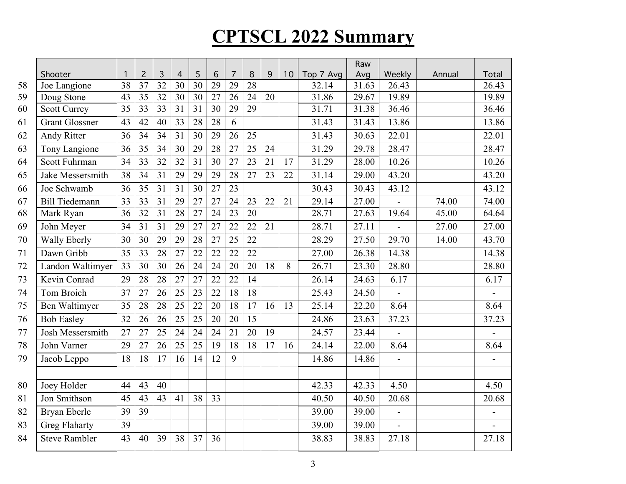|    |                       |                 |                 |                 |                 |                 |                 |                 |                 |    |    |           | Raw   |                |        |                |
|----|-----------------------|-----------------|-----------------|-----------------|-----------------|-----------------|-----------------|-----------------|-----------------|----|----|-----------|-------|----------------|--------|----------------|
|    | Shooter               | $\mathbf{1}$    | $\overline{c}$  | 3               | $\overline{4}$  | 5               | 6               | $\overline{7}$  | 8               | 9  | 10 | Top 7 Avg | Avg   | Weekly         | Annual | Total          |
| 58 | Joe Langione          | 38              | 37              | 32              | 30              | 30              | 29              | 29              | 28              |    |    | 32.14     | 31.63 | 26.43          |        | 26.43          |
| 59 | Doug Stone            | 43              | 35              | $\overline{32}$ | 30              | 30              | 27              | 26              | 24              | 20 |    | 31.86     | 29.67 | 19.89          |        | 19.89          |
| 60 | <b>Scott Currey</b>   | 35              | $\overline{33}$ | $\overline{33}$ | 31              | 31              | $\overline{30}$ | 29              | 29              |    |    | 31.71     | 31.38 | 36.46          |        | 36.46          |
| 61 | <b>Grant Glossner</b> | 43              | 42              | 40              | 33              | 28              | 28              | 6               |                 |    |    | 31.43     | 31.43 | 13.86          |        | 13.86          |
| 62 | <b>Andy Ritter</b>    | 36              | 34              | 34              | 31              | 30              | 29              | 26              | 25              |    |    | 31.43     | 30.63 | 22.01          |        | 22.01          |
| 63 | Tony Langione         | 36              | 35              | 34              | 30              | 29              | 28              | 27              | 25              | 24 |    | 31.29     | 29.78 | 28.47          |        | 28.47          |
| 64 | Scott Fuhrman         | 34              | 33              | 32              | 32              | 31              | 30              | 27              | 23              | 21 | 17 | 31.29     | 28.00 | 10.26          |        | 10.26          |
| 65 | Jake Messersmith      | 38              | 34              | 31              | 29              | 29              | 29              | 28              | 27              | 23 | 22 | 31.14     | 29.00 | 43.20          |        | 43.20          |
| 66 | Joe Schwamb           | 36              | 35              | 31              | 31              | 30              | $\overline{27}$ | $\overline{23}$ |                 |    |    | 30.43     | 30.43 | 43.12          |        | 43.12          |
| 67 | <b>Bill Tiedemann</b> | 33              | 33              | 31              | 29              | 27              | 27              | 24              | 23              | 22 | 21 | 29.14     | 27.00 |                | 74.00  | 74.00          |
| 68 | Mark Ryan             | 36              | $\overline{32}$ | $\overline{31}$ | $\overline{28}$ | $\overline{27}$ | $\overline{24}$ | $\overline{23}$ | 20              |    |    | 28.71     | 27.63 | 19.64          | 45.00  | 64.64          |
| 69 | John Meyer            | 34              | 31              | 31              | 29              | 27              | 27              | 22              | 22              | 21 |    | 28.71     | 27.11 |                | 27.00  | 27.00          |
| 70 | Wally Eberly          | 30              | 30              | 29              | 29              | 28              | 27              | 25              | 22              |    |    | 28.29     | 27.50 | 29.70          | 14.00  | 43.70          |
| 71 | Dawn Gribb            | 35              | 33              | 28              | 27              | 22              | 22              | 22              | 22              |    |    | 27.00     | 26.38 | 14.38          |        | 14.38          |
| 72 | Landon Waltimyer      | 33              | 30              | 30              | 26              | 24              | 24              | 20              | 20              | 18 | 8  | 26.71     | 23.30 | 28.80          |        | 28.80          |
| 73 | Kevin Conrad          | 29              | 28              | 28              | 27              | 27              | 22              | 22              | 14              |    |    | 26.14     | 24.63 | 6.17           |        | 6.17           |
| 74 | Tom Broich            | $\overline{37}$ | $\overline{27}$ | $\overline{26}$ | $\overline{25}$ | $\overline{23}$ | $\overline{22}$ | $\overline{18}$ | $\overline{18}$ |    |    | 25.43     | 24.50 |                |        |                |
| 75 | Ben Waltimyer         | 35              | 28              | 28              | 25              | 22              | 20              | 18              | 17              | 16 | 13 | 25.14     | 22.20 | 8.64           |        | 8.64           |
| 76 | <b>Bob Easley</b>     | 32              | 26              | 26              | 25              | 25              | 20              | 20              | 15              |    |    | 24.86     | 23.63 | 37.23          |        | 37.23          |
| 77 | Josh Messersmith      | 27              | 27              | 25              | 24              | 24              | 24              | 21              | 20              | 19 |    | 24.57     | 23.44 | $\frac{1}{2}$  |        |                |
| 78 | John Varner           | 29              | 27              | 26              | 25              | 25              | 19              | 18              | 18              | 17 | 16 | 24.14     | 22.00 | 8.64           |        | 8.64           |
| 79 | Jacob Leppo           | 18              | 18              | 17              | 16              | 14              | 12              | 9               |                 |    |    | 14.86     | 14.86 | $\frac{1}{2}$  |        |                |
|    |                       |                 |                 |                 |                 |                 |                 |                 |                 |    |    |           |       |                |        |                |
| 80 | Joey Holder           | 44              | 43              | 40              |                 |                 |                 |                 |                 |    |    | 42.33     | 42.33 | 4.50           |        | 4.50           |
| 81 | Jon Smithson          | 45              | 43              | 43              | 41              | 38              | 33              |                 |                 |    |    | 40.50     | 40.50 | 20.68          |        | 20.68          |
| 82 | Bryan Eberle          | 39              | 39              |                 |                 |                 |                 |                 |                 |    |    | 39.00     | 39.00 | $\blacksquare$ |        | $\overline{a}$ |
| 83 | <b>Greg Flaharty</b>  | 39              |                 |                 |                 |                 |                 |                 |                 |    |    | 39.00     | 39.00 |                |        |                |
| 84 | Steve Rambler         | 43              | 40              | 39              | 38              | 37              | 36              |                 |                 |    |    | 38.83     | 38.83 | 27.18          |        | 27.18          |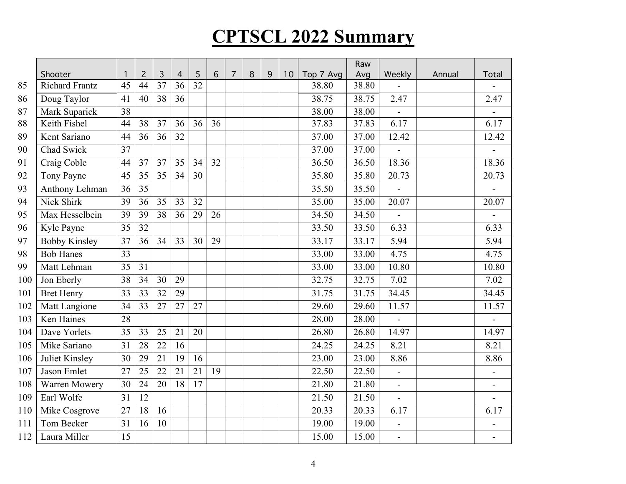|     |                       |    |                 |                 |                 |    |                 |   |   |   |    |           | Raw   |                          |        |                          |
|-----|-----------------------|----|-----------------|-----------------|-----------------|----|-----------------|---|---|---|----|-----------|-------|--------------------------|--------|--------------------------|
|     | Shooter               | 1  | $\overline{c}$  | 3               | $\overline{4}$  | 5  | 6               | 7 | 8 | 9 | 10 | Top 7 Avg | Avg   | Weekly                   | Annual | Total                    |
| 85  | <b>Richard Frantz</b> | 45 | 44              | 37              | 36              | 32 |                 |   |   |   |    | 38.80     | 38.80 |                          |        |                          |
| 86  | Doug Taylor           | 41 | 40              | 38              | 36              |    |                 |   |   |   |    | 38.75     | 38.75 | 2.47                     |        | 2.47                     |
| 87  | Mark Suparick         | 38 |                 |                 |                 |    |                 |   |   |   |    | 38.00     | 38.00 | $\overline{\phantom{a}}$ |        | $\blacksquare$           |
| 88  | Keith Fishel          | 44 | 38              | 37              | 36              | 36 | 36              |   |   |   |    | 37.83     | 37.83 | 6.17                     |        | 6.17                     |
| 89  | Kent Sariano          | 44 | 36              | 36              | 32              |    |                 |   |   |   |    | 37.00     | 37.00 | 12.42                    |        | 12.42                    |
| 90  | Chad Swick            | 37 |                 |                 |                 |    |                 |   |   |   |    | 37.00     | 37.00 |                          |        |                          |
| 91  | Craig Coble           | 44 | 37              | 37              | 35              | 34 | 32              |   |   |   |    | 36.50     | 36.50 | 18.36                    |        | 18.36                    |
| 92  | Tony Payne            | 45 | 35              | 35              | 34              | 30 |                 |   |   |   |    | 35.80     | 35.80 | 20.73                    |        | 20.73                    |
| 93  | Anthony Lehman        | 36 | 35              |                 |                 |    |                 |   |   |   |    | 35.50     | 35.50 | $\blacksquare$           |        | $\blacksquare$           |
| 94  | Nick Shirk            | 39 | 36              | 35              | 33              | 32 |                 |   |   |   |    | 35.00     | 35.00 | 20.07                    |        | 20.07                    |
| 95  | Max Hesselbein        | 39 | 39              | 38              | 36              | 29 | 26              |   |   |   |    | 34.50     | 34.50 | $\overline{a}$           |        | $\overline{a}$           |
| 96  | Kyle Payne            | 35 | 32              |                 |                 |    |                 |   |   |   |    | 33.50     | 33.50 | 6.33                     |        | 6.33                     |
| 97  | <b>Bobby Kinsley</b>  | 37 | 36              | 34              | 33              | 30 | 29              |   |   |   |    | 33.17     | 33.17 | 5.94                     |        | 5.94                     |
| 98  | <b>Bob Hanes</b>      | 33 |                 |                 |                 |    |                 |   |   |   |    | 33.00     | 33.00 | 4.75                     |        | 4.75                     |
| 99  | Matt Lehman           | 35 | 31              |                 |                 |    |                 |   |   |   |    | 33.00     | 33.00 | 10.80                    |        | 10.80                    |
| 100 | Jon Eberly            | 38 | 34              | 30              | 29              |    |                 |   |   |   |    | 32.75     | 32.75 | 7.02                     |        | 7.02                     |
| 101 | <b>Bret Henry</b>     | 33 | $\overline{33}$ | $\overline{32}$ | 29              |    |                 |   |   |   |    | 31.75     | 31.75 | 34.45                    |        | 34.45                    |
| 102 | Matt Langione         | 34 | 33              | 27              | 27              | 27 |                 |   |   |   |    | 29.60     | 29.60 | 11.57                    |        | 11.57                    |
| 103 | Ken Haines            | 28 |                 |                 |                 |    |                 |   |   |   |    | 28.00     | 28.00 |                          |        |                          |
| 104 | Dave Yorlets          | 35 | 33              | 25              | 21              | 20 |                 |   |   |   |    | 26.80     | 26.80 | 14.97                    |        | 14.97                    |
| 105 | Mike Sariano          | 31 | 28              | $\overline{22}$ | $\overline{16}$ |    |                 |   |   |   |    | 24.25     | 24.25 | 8.21                     |        | 8.21                     |
| 106 | Juliet Kinsley        | 30 | 29              | 21              | 19              | 16 |                 |   |   |   |    | 23.00     | 23.00 | 8.86                     |        | 8.86                     |
| 107 | Jason Emlet           | 27 | $\overline{25}$ | 22              | 21              | 21 | $\overline{19}$ |   |   |   |    | 22.50     | 22.50 |                          |        | $\overline{a}$           |
| 108 | Warren Mowery         | 30 | 24              | 20              | 18              | 17 |                 |   |   |   |    | 21.80     | 21.80 | $\blacksquare$           |        | $\overline{\phantom{a}}$ |
| 109 | Earl Wolfe            | 31 | 12              |                 |                 |    |                 |   |   |   |    | 21.50     | 21.50 |                          |        |                          |
| 110 | Mike Cosgrove         | 27 | 18              | 16              |                 |    |                 |   |   |   |    | 20.33     | 20.33 | 6.17                     |        | 6.17                     |
| 111 | Tom Becker            | 31 | 16              | 10              |                 |    |                 |   |   |   |    | 19.00     | 19.00 |                          |        |                          |
| 112 | Laura Miller          | 15 |                 |                 |                 |    |                 |   |   |   |    | 15.00     | 15.00 | $\overline{\phantom{a}}$ |        |                          |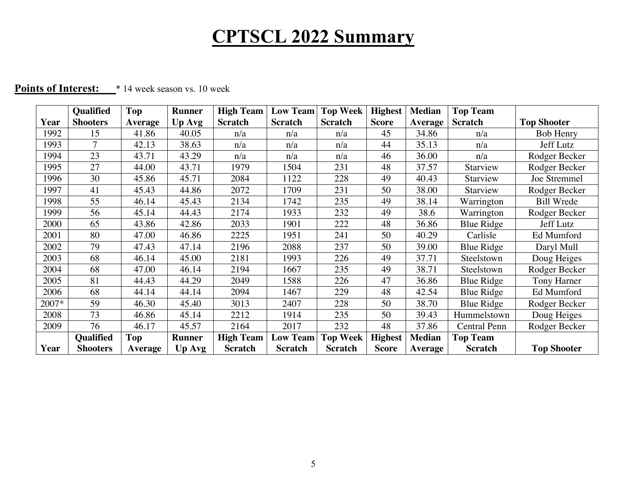|       | <b>Qualified</b> | Top            | <b>Runner</b> | <b>High Team</b> | <b>Low Team</b> | <b>Top Week</b> | <b>Highest</b> | <b>Median</b>  | <b>Top Team</b> |                    |
|-------|------------------|----------------|---------------|------------------|-----------------|-----------------|----------------|----------------|-----------------|--------------------|
| Year  | <b>Shooters</b>  | <b>Average</b> | Up Avg        | <b>Scratch</b>   | <b>Scratch</b>  | <b>Scratch</b>  | <b>Score</b>   | <b>Average</b> | <b>Scratch</b>  | <b>Top Shooter</b> |
| 1992  | 15               | 41.86          | 40.05         | n/a              | n/a             | n/a             | 45             | 34.86          | n/a             | <b>Bob Henry</b>   |
| 1993  | $\tau$           | 42.13          | 38.63         | n/a              | n/a             | n/a             | 44             | 35.13          | n/a             | Jeff Lutz          |
| 1994  | 23               | 43.71          | 43.29         | n/a              | n/a             | n/a             | 46             | 36.00          | n/a             | Rodger Becker      |
| 1995  | 27               | 44.00          | 43.71         | 1979             | 1504            | 231             | 48             | 37.57          | Starview        | Rodger Becker      |
| 1996  | 30               | 45.86          | 45.71         | 2084             | 1122            | 228             | 49             | 40.43          | Starview        | Joe Stremmel       |
| 1997  | 41               | 45.43          | 44.86         | 2072             | 1709            | 231             | 50             | 38.00          | Starview        | Rodger Becker      |
| 1998  | 55               | 46.14          | 45.43         | 2134             | 1742            | 235             | 49             | 38.14          | Warrington      | <b>Bill Wrede</b>  |
| 1999  | 56               | 45.14          | 44.43         | 2174             | 1933            | 232             | 49             | 38.6           | Warrington      | Rodger Becker      |
| 2000  | 65               | 43.86          | 42.86         | 2033             | 1901            | 222             | 48             | 36.86          | Blue Ridge      | Jeff Lutz          |
| 2001  | 80               | 47.00          | 46.86         | 2225             | 1951            | 241             | 50             | 40.29          | Carlisle        | Ed Mumford         |
| 2002  | 79               | 47.43          | 47.14         | 2196             | 2088            | 237             | 50             | 39.00          | Blue Ridge      | Daryl Mull         |
| 2003  | 68               | 46.14          | 45.00         | 2181             | 1993            | 226             | 49             | 37.71          | Steelstown      | Doug Heiges        |
| 2004  | 68               | 47.00          | 46.14         | 2194             | 1667            | 235             | 49             | 38.71          | Steelstown      | Rodger Becker      |
| 2005  | 81               | 44.43          | 44.29         | 2049             | 1588            | 226             | 47             | 36.86          | Blue Ridge      | Tony Harner        |
| 2006  | 68               | 44.14          | 44.14         | 2094             | 1467            | 229             | 48             | 42.54          | Blue Ridge      | Ed Mumford         |
| 2007* | 59               | 46.30          | 45.40         | 3013             | 2407            | 228             | 50             | 38.70          | Blue Ridge      | Rodger Becker      |
| 2008  | 73               | 46.86          | 45.14         | 2212             | 1914            | 235             | 50             | 39.43          | Hummelstown     | Doug Heiges        |
| 2009  | 76               | 46.17          | 45.57         | 2164             | 2017            | 232             | 48             | 37.86          | Central Penn    | Rodger Becker      |
|       | <b>Qualified</b> | Top            | <b>Runner</b> | <b>High Team</b> | <b>Low Team</b> | <b>Top Week</b> | <b>Highest</b> | <b>Median</b>  | <b>Top Team</b> |                    |
| Year  | <b>Shooters</b>  | <b>Average</b> | Up Avg        | <b>Scratch</b>   | <b>Scratch</b>  | <b>Scratch</b>  | <b>Score</b>   | Average        | <b>Scratch</b>  | <b>Top Shooter</b> |

### **Points of Interest:** \* 14 week season vs. 10 week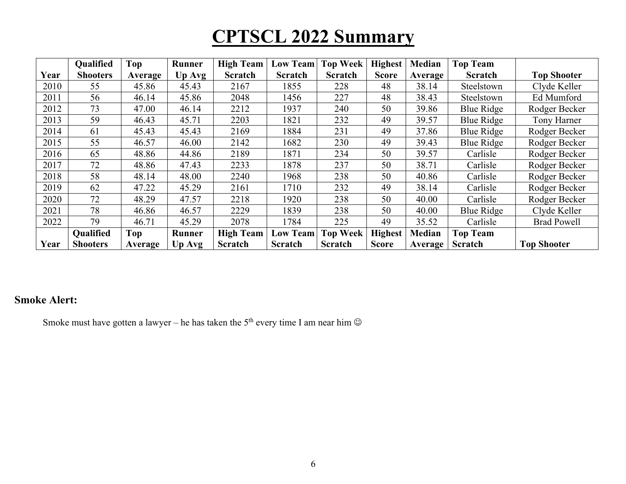|      | <b>Qualified</b> | <b>Top</b> | Runner        | <b>High Team</b> | <b>Low Team</b> | <b>Top Week</b> | <b>Highest</b> | <b>Median</b> | <b>Top Team</b> |                    |
|------|------------------|------------|---------------|------------------|-----------------|-----------------|----------------|---------------|-----------------|--------------------|
| Year | <b>Shooters</b>  | Average    | <b>Up Avg</b> | <b>Scratch</b>   | <b>Scratch</b>  | <b>Scratch</b>  | <b>Score</b>   | Average       | <b>Scratch</b>  | <b>Top Shooter</b> |
| 2010 | 55               | 45.86      | 45.43         | 2167             | 1855            | 228             | 48             | 38.14         | Steelstown      | Clyde Keller       |
| 2011 | 56               | 46.14      | 45.86         | 2048             | 1456            | 227             | 48             | 38.43         | Steelstown      | Ed Mumford         |
| 2012 | 73               | 47.00      | 46.14         | 2212             | 1937            | 240             | 50             | 39.86         | Blue Ridge      | Rodger Becker      |
| 2013 | 59               | 46.43      | 45.71         | 2203             | 1821            | 232             | 49             | 39.57         | Blue Ridge      | Tony Harner        |
| 2014 | 61               | 45.43      | 45.43         | 2169             | 1884            | 231             | 49             | 37.86         | Blue Ridge      | Rodger Becker      |
| 2015 | 55               | 46.57      | 46.00         | 2142             | 1682            | 230             | 49             | 39.43         | Blue Ridge      | Rodger Becker      |
| 2016 | 65               | 48.86      | 44.86         | 2189             | 1871            | 234             | 50             | 39.57         | Carlisle        | Rodger Becker      |
| 2017 | 72               | 48.86      | 47.43         | 2233             | 1878            | 237             | 50             | 38.71         | Carlisle        | Rodger Becker      |
| 2018 | 58               | 48.14      | 48.00         | 2240             | 1968            | 238             | 50             | 40.86         | Carlisle        | Rodger Becker      |
| 2019 | 62               | 47.22      | 45.29         | 2161             | 1710            | 232             | 49             | 38.14         | Carlisle        | Rodger Becker      |
| 2020 | 72               | 48.29      | 47.57         | 2218             | 1920            | 238             | 50             | 40.00         | Carlisle        | Rodger Becker      |
| 2021 | 78               | 46.86      | 46.57         | 2229             | 1839            | 238             | 50             | 40.00         | Blue Ridge      | Clyde Keller       |
| 2022 | 79               | 46.71      | 45.29         | 2078             | 1784            | 225             | 49             | 35.52         | Carlisle        | <b>Brad Powell</b> |
|      | <b>Qualified</b> | Top        | Runner        | <b>High Team</b> | <b>Low Team</b> | <b>Top Week</b> | <b>Highest</b> | <b>Median</b> | <b>Top Team</b> |                    |
| Year | <b>Shooters</b>  | Average    | Up Avg        | <b>Scratch</b>   | <b>Scratch</b>  | Scratch         | <b>Score</b>   | Average       | Scratch         | <b>Top Shooter</b> |

### **Smoke Alert:**

Smoke must have gotten a lawyer – he has taken the 5<sup>th</sup> every time I am near him  $\odot$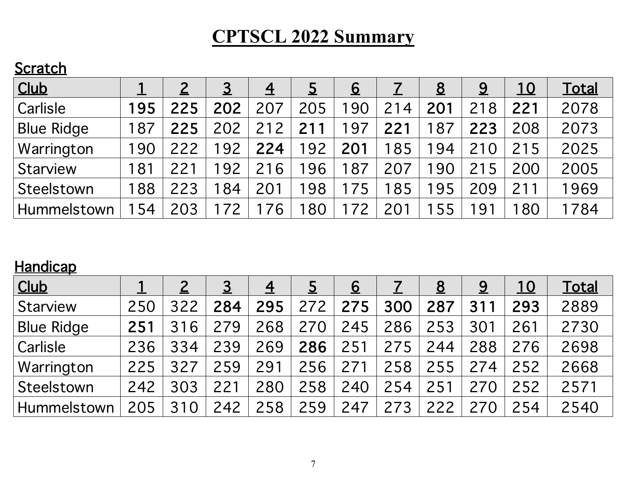### **Scratch**

| Club              |     |     | <u>3</u> | $\overline{4}$ |     | <u>6</u>        |     | <u>8</u> | <u>9</u> | <u> 10</u> | <u>Total</u> |
|-------------------|-----|-----|----------|----------------|-----|-----------------|-----|----------|----------|------------|--------------|
| Carlisle          | 195 | 225 | 202      | 207            | 205 | $\overline{90}$ | 214 | 201      | 218      | 221        | 2078         |
| <b>Blue Ridge</b> | 187 | 225 | 202      | 212            | 21  | 197             | 221 | 187      | 223      | 208        | 2073         |
| Warrington        | 190 | 222 | 192      | 224            | 192 | 201             | 185 | 194      | 210      | 215        | 2025         |
| <b>Starview</b>   | 181 | 22  | 192      | 216            | 96  | 187             | 207 | 190      | 215      | 200        | 2005         |
| Steelstown        | 188 | 223 | 84       | 201            | 198 |                 | 185 | 195      | 209      | 211        | 1969         |
| Hummelstown       | 154 | 203 | 72       | 76             | 80  | 72              | 201 | 155      | 191      | 80         | 1784         |

### **Handicap**

| <b>Club</b>        |     |                | <u>З</u> | 4   |     | <u>6</u> |     | <u>8</u> | <u>9</u> | <u> 10</u> | <u>Total</u> |
|--------------------|-----|----------------|----------|-----|-----|----------|-----|----------|----------|------------|--------------|
| Starview           | 250 | 322            | 284      | 295 | 272 | 275      | 300 | 287      | 311      | 293        | 2889         |
| <b>Blue Ridge</b>  | 251 | 6<br>31        | 279      | 268 | 270 | 245      | 286 | 253      | 301      | 261        | 2730         |
| <b>Carlisle</b>    | 236 | 334            | 239      | 269 | 286 | 251      | 275 | 244      | 288      | 276        | 2698         |
| Warrington         | 225 | 327            | 259      | 291 | 256 | 271      | 258 | 255      | 274      | 252        | 2668         |
| Steelstown         | 242 | 303            | 221      | 280 | 258 | 240      | 254 | 251      | 270      | 252        | 2571         |
| <b>Hummelstown</b> | 205 | $\Omega$<br>31 | 242      | 258 | 259 | 247      | 273 | 222      | 270      | 254        | 2540         |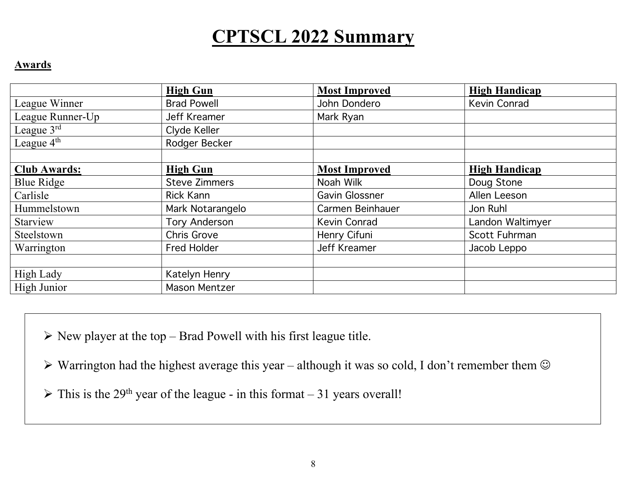#### **Awards**

|                        | <b>High Gun</b>      | <b>Most Improved</b> | <b>High Handicap</b> |
|------------------------|----------------------|----------------------|----------------------|
| League Winner          | <b>Brad Powell</b>   | John Dondero         | Kevin Conrad         |
| League Runner-Up       | Jeff Kreamer         | Mark Ryan            |                      |
| League $3^{\text{rd}}$ | Clyde Keller         |                      |                      |
| League $4th$           | Rodger Becker        |                      |                      |
|                        |                      |                      |                      |
| <b>Club Awards:</b>    | <b>High Gun</b>      | <b>Most Improved</b> | <b>High Handicap</b> |
| <b>Blue Ridge</b>      | <b>Steve Zimmers</b> | Noah Wilk            | Doug Stone           |
| Carlisle               | Rick Kann            | Gavin Glossner       | Allen Leeson         |
| Hummelstown            | Mark Notarangelo     | Carmen Beinhauer     | Jon Ruhl             |
| Starview               | <b>Tory Anderson</b> | Kevin Conrad         | Landon Waltimyer     |
| Steelstown             | <b>Chris Grove</b>   | Henry Cifuni         | Scott Fuhrman        |
| Warrington             | <b>Fred Holder</b>   | <b>Jeff Kreamer</b>  | Jacob Leppo          |
|                        |                      |                      |                      |
| <b>High Lady</b>       | Katelyn Henry        |                      |                      |
| High Junior            | <b>Mason Mentzer</b> |                      |                      |

 $\triangleright$  New player at the top – Brad Powell with his first league title.

 $\triangleright$  Warrington had the highest average this year – although it was so cold, I don't remember them  $\odot$ 

 $\triangleright$  This is the 29<sup>th</sup> year of the league - in this format – 31 years overall!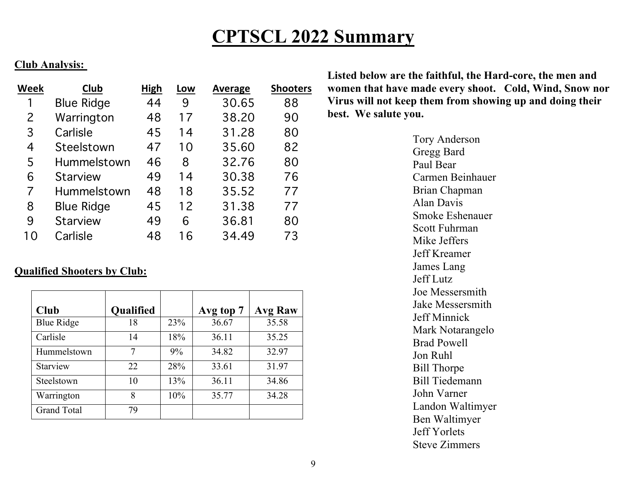#### **Club Analysis:**

| Week           | Club              | <b>High</b> | Low | <b>Average</b> | <b>Shooters</b> |
|----------------|-------------------|-------------|-----|----------------|-----------------|
| 1              | <b>Blue Ridge</b> | 44          | 9   | 30.65          | 88              |
| 2              | Warrington        | 48          | 17  | 38.20          | 90              |
| 3              | Carlisle          | 45          | 14  | 31.28          | 80              |
| $\overline{4}$ | Steelstown        | 47          | 10  | 35.60          | 82              |
| 5              | Hummelstown       | 46          | 8   | 32.76          | 80              |
| 6              | <b>Starview</b>   | 49          | 14  | 30.38          | 76              |
| 7              | Hummelstown       | 48          | 18  | 35.52          | 77              |
| 8              | <b>Blue Ridge</b> | 45          | 12  | 31.38          | 77              |
| 9              | <b>Starview</b>   | 49          | 6   | 36.81          | 80              |
| 10             | Carlisle          | 48          | 16  | 34.49          | 73              |

### **Qualified Shooters by Club:**

| Club               | <b>Qualified</b> |     | Avg top 7 | <b>Avg Raw</b> |
|--------------------|------------------|-----|-----------|----------------|
| <b>Blue Ridge</b>  | 18               | 23% | 36.67     | 35.58          |
| Carlisle           | 14               | 18% | 36.11     | 35.25          |
| Hummelstown        | 7                | 9%  | 34.82     | 32.97          |
| Starview           | 22               | 28% | 33.61     | 31.97          |
| Steelstown         | 10               | 13% | 36.11     | 34.86          |
| Warrington         | 8                | 10% | 35.77     | 34.28          |
| <b>Grand Total</b> | 79               |     |           |                |

**Listed below are the faithful, the Hard-core, the men and women that have made every shoot. Cold, Wind, Snow nor Virus will not keep them from showing up and doing their best. We salute you.**

> Tory Anderson Gregg Bard Paul Bear Carmen Beinhauer Brian Chapman Alan Davis Smoke Eshenauer Scott Fuhrman Mike Jeffers Jeff Kreamer James Lang Jeff Lutz Joe Messersmith Jake Messersmith Jeff Minnick Mark Notarangelo Brad Powell Jon Ruhl Bill Thorpe Bill Tiedemann John Varner Landon Waltimyer Ben Waltimyer Jeff Yorlets Steve Zimmers